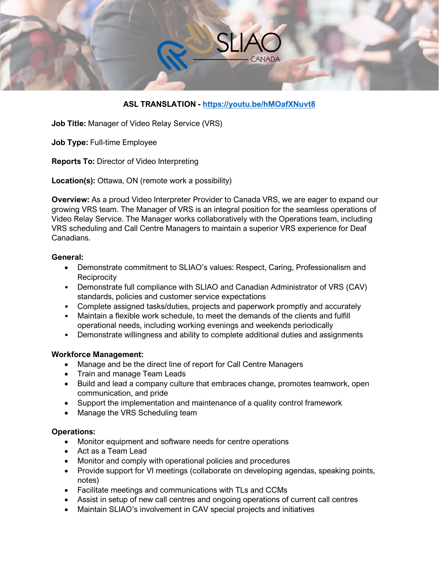

# **ASL TRANSLATION - <https://youtu.be/hMOafXNuvt8>**

**Job Title:** Manager of Video Relay Service (VRS)

**Job Type:** Full-time Employee

**Reports To:** Director of Video Interpreting

**Location(s):** Ottawa, ON (remote work a possibility)

**Overview:** As a proud Video Interpreter Provider to Canada VRS, we are eager to expand our growing VRS team. The Manager of VRS is an integral position for the seamless operations of Video Relay Service. The Manager works collaboratively with the Operations team, including VRS scheduling and Call Centre Managers to maintain a superior VRS experience for Deaf Canadians.

#### **General:**

- Demonstrate commitment to SLIAO's values: Respect, Caring, Professionalism and **Reciprocity**
- Demonstrate full compliance with SLIAO and Canadian Administrator of VRS (CAV) standards, policies and customer service expectations
- Complete assigned tasks/duties, projects and paperwork promptly and accurately
- Maintain a flexible work schedule, to meet the demands of the clients and fulfill operational needs, including working evenings and weekends periodically
- Demonstrate willingness and ability to complete additional duties and assignments

## **Workforce Management:**

- Manage and be the direct line of report for Call Centre Managers
- Train and manage Team Leads
- Build and lead a company culture that embraces change, promotes teamwork, open communication, and pride
- Support the implementation and maintenance of a quality control framework
- Manage the VRS Scheduling team

## **Operations:**

- Monitor equipment and software needs for centre operations
- Act as a Team Lead
- Monitor and comply with operational policies and procedures
- Provide support for VI meetings (collaborate on developing agendas, speaking points, notes)
- Facilitate meetings and communications with TLs and CCMs
- Assist in setup of new call centres and ongoing operations of current call centres
- Maintain SLIAO's involvement in CAV special projects and initiatives